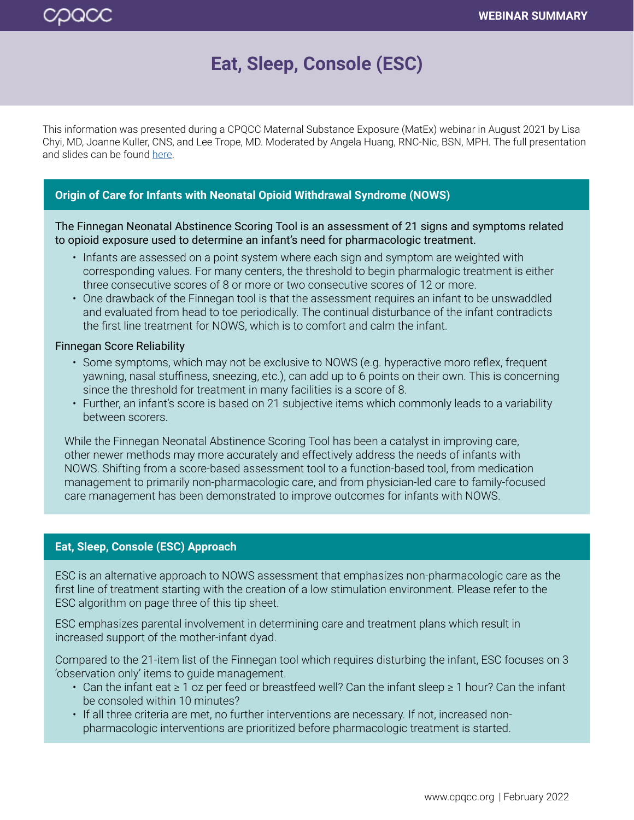# **Eat, Sleep, Console (ESC)**

This information was presented during a CPQCC Maternal Substance Exposure (MatEx) webinar in August 2021 by Lisa Chyi, MD, Joanne Kuller, CNS, and Lee Trope, MD. Moderated by Angela Huang, RNC-Nic, BSN, MPH. The full presentation and slides can be found [here](https://www.cpqcc.org/engage/event/eat-sleep-console-webinar).

## **Origin of Care for Infants with Neonatal Opioid Withdrawal Syndrome (NOWS)**

The Finnegan Neonatal Abstinence Scoring Tool is an assessment of 21 signs and symptoms related to opioid exposure used to determine an infant's need for pharmacologic treatment.

- Infants are assessed on a point system where each sign and symptom are weighted with corresponding values. For many centers, the threshold to begin pharmalogic treatment is either three consecutive scores of 8 or more or two consecutive scores of 12 or more.
- One drawback of the Finnegan tool is that the assessment requires an infant to be unswaddled and evaluated from head to toe periodically. The continual disturbance of the infant contradicts the first line treatment for NOWS, which is to comfort and calm the infant.

#### Finnegan Score Reliability

- Some symptoms, which may not be exclusive to NOWS (e.g. hyperactive moro reflex, frequent yawning, nasal stuffiness, sneezing, etc.), can add up to 6 points on their own. This is concerning since the threshold for treatment in many facilities is a score of 8.
- Further, an infant's score is based on 21 subjective items which commonly leads to a variability between scorers.

While the Finnegan Neonatal Abstinence Scoring Tool has been a catalyst in improving care, other newer methods may more accurately and effectively address the needs of infants with NOWS. Shifting from a score-based assessment tool to a function-based tool, from medication management to primarily non-pharmacologic care, and from physician-led care to family-focused care management has been demonstrated to improve outcomes for infants with NOWS.

#### <sup>t</sup> **Eat, Sleep, Console (ESC) Approach**

ESC is an alternative approach to NOWS assessment that emphasizes non-pharmacologic care as the first line of treatment starting with the creation of a low stimulation environment. Please refer to the ESC algorithm on page three of this tip sheet.

ESC emphasizes parental involvement in determining care and treatment plans which result in increased support of the mother-infant dyad.

Compared to the 21-item list of the Finnegan tool which requires disturbing the infant, ESC focuses on 3 'observation only' items to guide management.

- Can the infant eat ≥ 1 oz per feed or breastfeed well? Can the infant sleep ≥ 1 hour? Can the infant be consoled within 10 minutes?
- If all three criteria are met, no further interventions are necessary. If not, increased nonpharmacologic interventions are prioritized before pharmacologic treatment is started.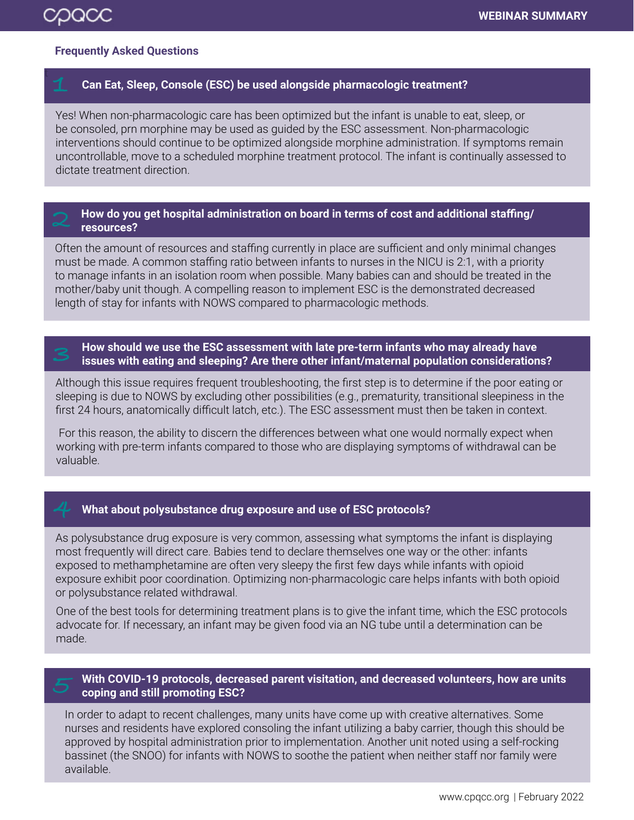## **Frequently Asked Questions**

### **Can Eat, Sleep, Console (ESC) be used alongside pharmacologic treatment?**

Yes! When non-pharmacologic care has been optimized but the infant is unable to eat, sleep, or be consoled, prn morphine may be used as guided by the ESC assessment. Non-pharmacologic interventions should continue to be optimized alongside morphine administration. If symptoms remain uncontrollable, move to a scheduled morphine treatment protocol. The infant is continually assessed to dictate treatment direction.

#### How do you get hospital administration on board in terms of cost and additional staffing/ **resources?**

Often the amount of resources and staffing currently in place are sufficient and only minimal changes must be made. A common staffing ratio between infants to nurses in the NICU is 2:1, with a priority to manage infants in an isolation room when possible. Many babies can and should be treated in the mother/baby unit though. A compelling reason to implement ESC is the demonstrated decreased length of stay for infants with NOWS compared to pharmacologic methods.

### t **How should we use the ESC assessment with late pre-term infants who may already have issues with eating and sleeping? Are there other infant/maternal population considerations?**

Although this issue requires frequent troubleshooting, the first step is to determine if the poor eating or sleeping is due to NOWS by excluding other possibilities (e.g., prematurity, transitional sleepiness in the first 24 hours, anatomically difficult latch, etc.). The ESC assessment must then be taken in context.

 For this reason, the ability to discern the differences between what one would normally expect when working with pre-term infants compared to those who are displaying symptoms of withdrawal can be valuable.

## <sup>t</sup> **What about polysubstance drug exposure and use of ESC protocols?**

As polysubstance drug exposure is very common, assessing what symptoms the infant is displaying most frequently will direct care. Babies tend to declare themselves one way or the other: infants exposed to methamphetamine are often very sleepy the first few days while infants with opioid exposure exhibit poor coordination. Optimizing non-pharmacologic care helps infants with both opioid or polysubstance related withdrawal.

One of the best tools for determining treatment plans is to give the infant time, which the ESC protocols advocate for. If necessary, an infant may be given food via an NG tube until a determination can be made.

## t **With COVID-19 protocols, decreased parent visitation, and decreased volunteers, how are units coping and still promoting ESC?**

In order to adapt to recent challenges, many units have come up with creative alternatives. Some nurses and residents have explored consoling the infant utilizing a baby carrier, though this should be approved by hospital administration prior to implementation. Another unit noted using a self-rocking bassinet (the SNOO) for infants with NOWS to soothe the patient when neither staff nor family were available.